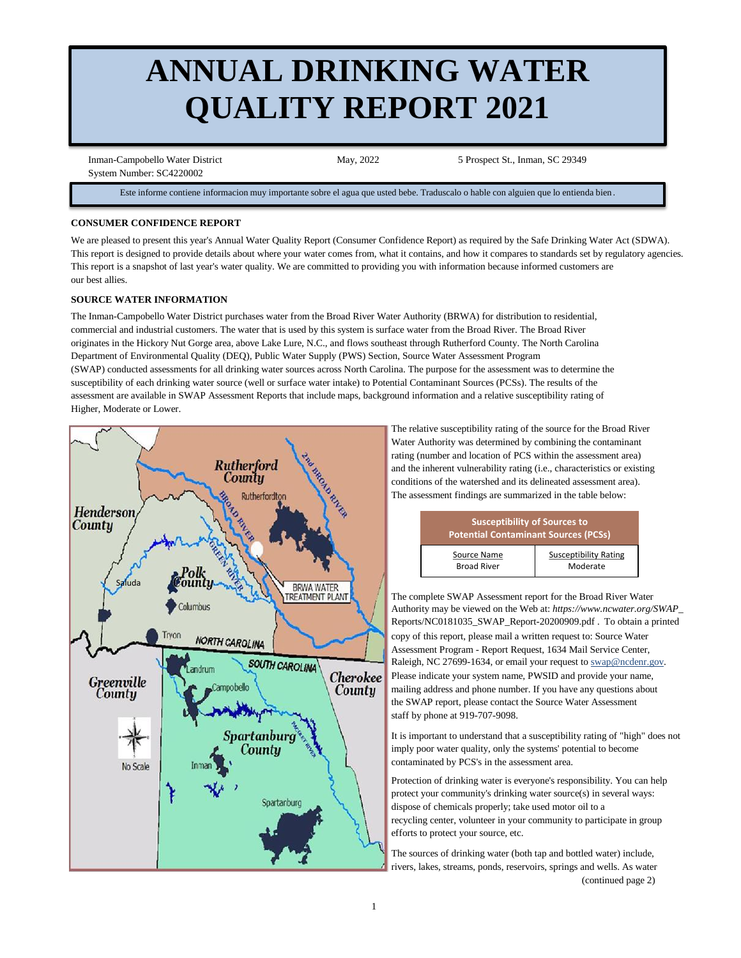# **ANNUAL DRINKING WATER QUALITY REPORT 2021**

 Inman-Campobello Water District May, 2022 5 Prospect St., Inman, SC 29349 System Number: SC4220002

Este informe contiene informacion muy importante sobre el agua que usted bebe. Traduscalo o hable con alguien que lo entienda bien .

## **CONSUMER CONFIDENCE REPORT**

We are pleased to present this year's Annual Water Quality Report (Consumer Confidence Report) as required by the Safe Drinking Water Act (SDWA). This report is designed to provide details about where your water comes from, what it contains, and how it compares to standards set by regulatory agencies. This report is a snapshot of last year's water quality. We are committed to providing you with information because informed customers are our best allies.

# **SOURCE WATER INFORMATION**

The Inman-Campobello Water District purchases water from the Broad River Water Authority (BRWA) for distribution to residential, commercial and industrial customers. The water that is used by this system is surface water from the Broad River. The Broad River originates in the Hickory Nut Gorge area, above Lake Lure, N.C., and flows southeast through Rutherford County. The North Carolina Department of Environmental Quality (DEQ), Public Water Supply (PWS) Section, Source Water Assessment Program (SWAP) conducted assessments for all drinking water sources across North Carolina. The purpose for the assessment was to determine the susceptibility of each drinking water source (well or surface water intake) to Potential Contaminant Sources (PCSs). The results of the assessment are available in SWAP Assessment Reports that include maps, background information and a relative susceptibility rating of Higher, Moderate or Lower.



 The relative susceptibility rating of the source for the Broad River Water Authority was determined by combining the contaminant rating (number and location of PCS within the assessment area) and the inherent vulnerability rating (i.e., characteristics or existing conditions of the watershed and its delineated assessment area). The assessment findings are summarized in the table below:

| <b>Susceptibility of Sources to</b><br><b>Potential Contaminant Sources (PCSs)</b> |                              |  |  |  |  |  |
|------------------------------------------------------------------------------------|------------------------------|--|--|--|--|--|
| Source Name                                                                        | <b>Susceptibility Rating</b> |  |  |  |  |  |
| <b>Broad River</b>                                                                 | Moderate                     |  |  |  |  |  |

 The complete SWAP Assessment report for the Broad River Water Authority may be viewed on the Web at: *https://www.ncwater.org/SWAP\_* Reports/NC0181035\_SWAP\_Report-20200909.pdf *.* To obtain a printed copy of this report, please mail a written request to: Source Water Assessment Program - Report Request, 1634 Mail Service Center, Raleigh, NC 27699-1634, or email your request to swap@ncdenr.gov. **Cherokee** Please indicate your system name, PWSID and provide your name, **County** mailing address and phone number. If you have any questions about the SWAP report, please contact the Source Water Assessment staff by phone at 919-707-9098.

> It is important to understand that a susceptibility rating of "high" does not imply poor water quality, only the systems' potential to become contaminated by PCS's in the assessment area.

 Protection of drinking water is everyone's responsibility. You can help protect your community's drinking water source(s) in several ways: dispose of chemicals properly; take used motor oil to a recycling center, volunteer in your community to participate in group efforts to protect your source, etc.

 The sources of drinking water (both tap and bottled water) include, rivers, lakes, streams, ponds, reservoirs, springs and wells. As water (continued page 2)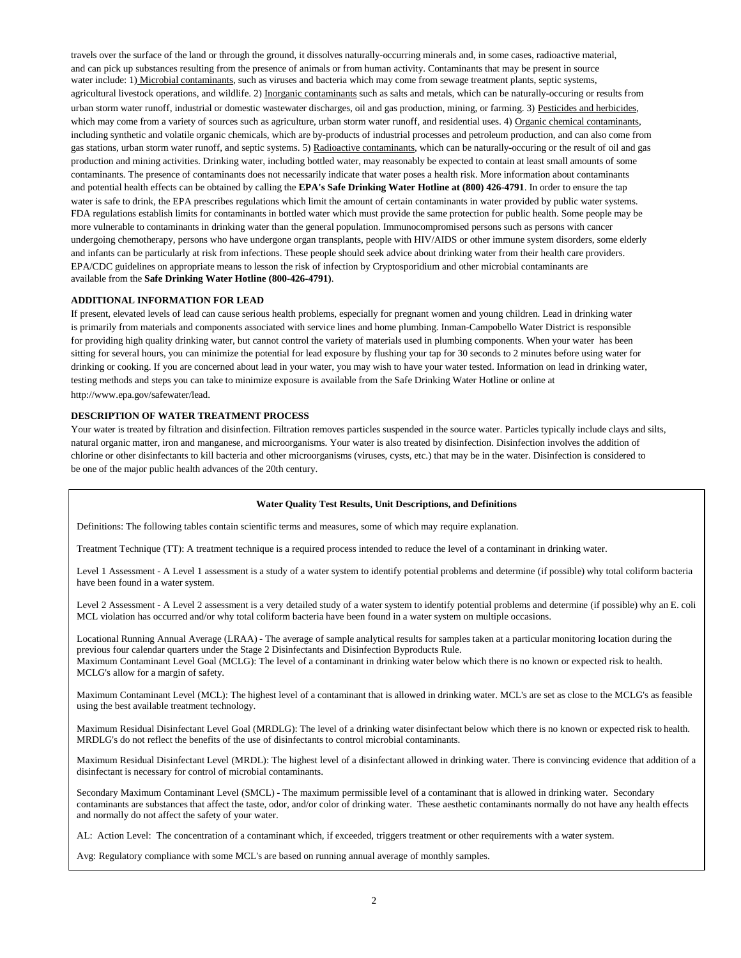travels over the surface of the land or through the ground, it dissolves naturally-occurring minerals and, in some cases, radioactive material, and can pick up substances resulting from the presence of animals or from human activity. Contaminants that may be present in source water include: 1) Microbial contaminants, such as viruses and bacteria which may come from sewage treatment plants, septic systems, agricultural livestock operations, and wildlife. 2) Inorganic contaminants such as salts and metals, which can be naturally-occuring or results from urban storm water runoff, industrial or domestic wastewater discharges, oil and gas production, mining, or farming. 3) Pesticides and herbicides, which may come from a variety of sources such as agriculture, urban storm water runoff, and residential uses. 4) Organic chemical contaminants, including synthetic and volatile organic chemicals, which are by-products of industrial processes and petroleum production, and can also come from gas stations, urban storm water runoff, and septic systems. 5) Radioactive contaminants, which can be naturally-occuring or the result of oil and gas production and mining activities. Drinking water, including bottled water, may reasonably be expected to contain at least small amounts of some contaminants. The presence of contaminants does not necessarily indicate that water poses a health risk. More information about contaminants and potential health effects can be obtained by calling the **EPA's Safe Drinking Water Hotline at (800) 426-4791**. In order to ensure the tap water is safe to drink, the EPA prescribes regulations which limit the amount of certain contaminants in water provided by public water systems. FDA regulations establish limits for contaminants in bottled water which must provide the same protection for public health. Some people may be more vulnerable to contaminants in drinking water than the general population. Immunocompromised persons such as persons with cancer undergoing chemotherapy, persons who have undergone organ transplants, people with HIV/AIDS or other immune system disorders, some elderly and infants can be particularly at risk from infections. These people should seek advice about drinking water from their health care providers. EPA/CDC guidelines on appropriate means to lesson the risk of infection by Cryptosporidium and other microbial contaminants are available from the **Safe Drinking Water Hotline (800-426-4791)**.

### **ADDITIONAL INFORMATION FOR LEAD**

If present, elevated levels of lead can cause serious health problems, especially for pregnant women and young children. Lead in drinking water is primarily from materials and components associated with service lines and home plumbing. Inman-Campobello Water District is responsible for providing high quality drinking water, but cannot control the variety of materials used in plumbing components. When your water has been sitting for several hours, you can minimize the potential for lead exposure by flushing your tap for 30 seconds to 2 minutes before using water for drinking or cooking. If you are concerned about lead in your water, you may wish to have your water tested. Information on lead in drinking water, testing methods and steps you can take to minimize exposure is available from the Safe Drinking Water Hotline or online at http://www.epa.gov/safewater/lead.

### **DESCRIPTION OF WATER TREATMENT PROCESS**

Your water is treated by filtration and disinfection. Filtration removes particles suspended in the source water. Particles typically include clays and silts, natural organic matter, iron and manganese, and microorganisms. Your water is also treated by disinfection. Disinfection involves the addition of chlorine or other disinfectants to kill bacteria and other microorganisms (viruses, cysts, etc.) that may be in the water. Disinfection is considered to be one of the major public health advances of the 20th century.

#### **Water Quality Test Results, Unit Descriptions, and Definitions**

Definitions: The following tables contain scientific terms and measures, some of which may require explanation.

Treatment Technique (TT): A treatment technique is a required process intended to reduce the level of a contaminant in drinking water.

Level 1 Assessment - A Level 1 assessment is a study of a water system to identify potential problems and determine (if possible) why total coliform bacteria have been found in a water system.

Level 2 Assessment - A Level 2 assessment is a very detailed study of a water system to identify potential problems and determine (if possible) why an E. coli MCL violation has occurred and/or why total coliform bacteria have been found in a water system on multiple occasions.

Locational Running Annual Average (LRAA) - The average of sample analytical results for samples taken at a particular monitoring location during the previous four calendar quarters under the Stage 2 Disinfectants and Disinfection Byproducts Rule. Maximum Contaminant Level Goal (MCLG): The level of a contaminant in drinking water below which there is no known or expected risk to health. MCLG's allow for a margin of safety.

Maximum Contaminant Level (MCL): The highest level of a contaminant that is allowed in drinking water. MCL's are set as close to the MCLG's as feasible using the best available treatment technology.

Maximum Residual Disinfectant Level Goal (MRDLG): The level of a drinking water disinfectant below which there is no known or expected risk to health. MRDLG's do not reflect the benefits of the use of disinfectants to control microbial contaminants.

Maximum Residual Disinfectant Level (MRDL): The highest level of a disinfectant allowed in drinking water. There is convincing evidence that addition of a disinfectant is necessary for control of microbial contaminants.

Secondary Maximum Contaminant Level (SMCL) - The maximum permissible level of a contaminant that is allowed in drinking water. Secondary contaminants are substances that affect the taste, odor, and/or color of drinking water. These aesthetic contaminants normally do not have any health effects and normally do not affect the safety of your water.

AL: Action Level: The concentration of a contaminant which, if exceeded, triggers treatment or other requirements with a water system.

Avg: Regulatory compliance with some MCL's are based on running annual average of monthly samples.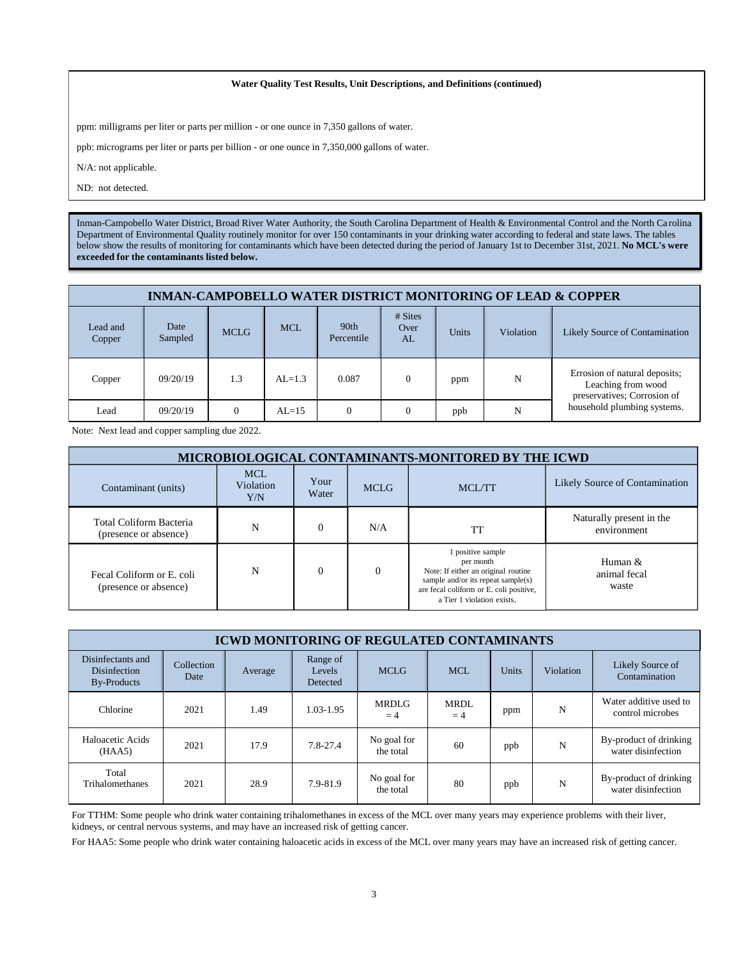#### **Water Quality Test Results, Unit Descriptions, and Definitions (continued)**

ppm: milligrams per liter or parts per million - or one ounce in 7,350 gallons of water.

ppb: micrograms per liter or parts per billion - or one ounce in 7,350,000 gallons of water.

N/A: not applicable.

ND: not detected.

Inman-Campobello Water District, Broad River Water Authority, the South Carolina Department of Health & Environmental Control and the North Ca rolina Department of Environmental Quality routinely monitor for over 150 contaminants in your drinking water according to federal and state laws. The tables below show the results of monitoring for contaminants which have been detected during the period of January 1st to December 31st, 2021. **No MCL's were exceeded for the contaminants listed below.** 

| <b>INMAN-CAMPOBELLO WATER DISTRICT MONITORING OF LEAD &amp; COPPER</b> |                 |             |            |                                |                            |       |                  |                                                                                    |  |
|------------------------------------------------------------------------|-----------------|-------------|------------|--------------------------------|----------------------------|-------|------------------|------------------------------------------------------------------------------------|--|
| Lead and<br>Copper                                                     | Date<br>Sampled | <b>MCLG</b> | <b>MCL</b> | 90 <sub>th</sub><br>Percentile | $# \n  Stes$<br>Over<br>AL | Units | <b>Violation</b> | Likely Source of Contamination                                                     |  |
| Copper                                                                 | 09/20/19        | 1.3         | $AL=1.3$   | 0.087                          |                            | ppm   | N                | Errosion of natural deposits;<br>Leaching from wood<br>preservatives; Corrosion of |  |
| Lead                                                                   | 09/20/19        | $\Omega$    | $AL=15$    |                                |                            | ppb   | N                | household plumbing systems.                                                        |  |

Note: Next lead and copper sampling due 2022.

| <b>MICROBIOLOGICAL CONTAMINANTS-MONITORED BY THE ICWD</b> |                                |               |             |                                                                                                                                                                                         |                                         |  |  |  |  |
|-----------------------------------------------------------|--------------------------------|---------------|-------------|-----------------------------------------------------------------------------------------------------------------------------------------------------------------------------------------|-----------------------------------------|--|--|--|--|
| Contaminant (units)                                       | <b>MCL</b><br>Violation<br>Y/N | Your<br>Water | <b>MCLG</b> | MCL/TT                                                                                                                                                                                  | Likely Source of Contamination          |  |  |  |  |
| Total Coliform Bacteria<br>(presence or absence)          | N                              |               | N/A         | TT                                                                                                                                                                                      | Naturally present in the<br>environment |  |  |  |  |
| Fecal Coliform or E. coli<br>(presence or absence)        | N                              |               | $\Omega$    | 1 positive sample<br>per month<br>Note: If either an original routine<br>sample and/or its repeat sample $(s)$<br>are fecal coliform or E. coli positive,<br>a Tier 1 violation exists. | Human $\&$<br>animal fecal<br>waste     |  |  |  |  |

| <b>ICWD MONITORING OF REGULATED CONTAMINANTS</b>        |                    |         |                                |                          |              |       |           |                                              |  |
|---------------------------------------------------------|--------------------|---------|--------------------------------|--------------------------|--------------|-------|-----------|----------------------------------------------|--|
| Disinfectants and<br>Disinfection<br><b>By-Products</b> | Collection<br>Date | Average | Range of<br>Levels<br>Detected | <b>MCLG</b>              | <b>MCL</b>   | Units | Violation | Likely Source of<br>Contamination            |  |
| Chlorine                                                | 2021               | 1.49    | 1.03-1.95                      | <b>MRDLG</b><br>$=4$     | MRDL<br>$=4$ | ppm   | N         | Water additive used to<br>control microbes   |  |
| Haloacetic Acids<br>(HAA5)                              | 2021               | 17.9    | 7.8-27.4                       | No goal for<br>the total | 60           | ppb   | N         | By-product of drinking<br>water disinfection |  |
| Total<br><b>Trihalomethanes</b>                         | 2021               | 28.9    | 7.9-81.9                       | No goal for<br>the total | 80           | ppb   | N         | By-product of drinking<br>water disinfection |  |

For TTHM: Some people who drink water containing trihalomethanes in excess of the MCL over many years may experience problems with their liver, kidneys, or central nervous systems, and may have an increased risk of getting cancer.

For HAA5: Some people who drink water containing haloacetic acids in excess of the MCL over many years may have an increased risk of getting cancer.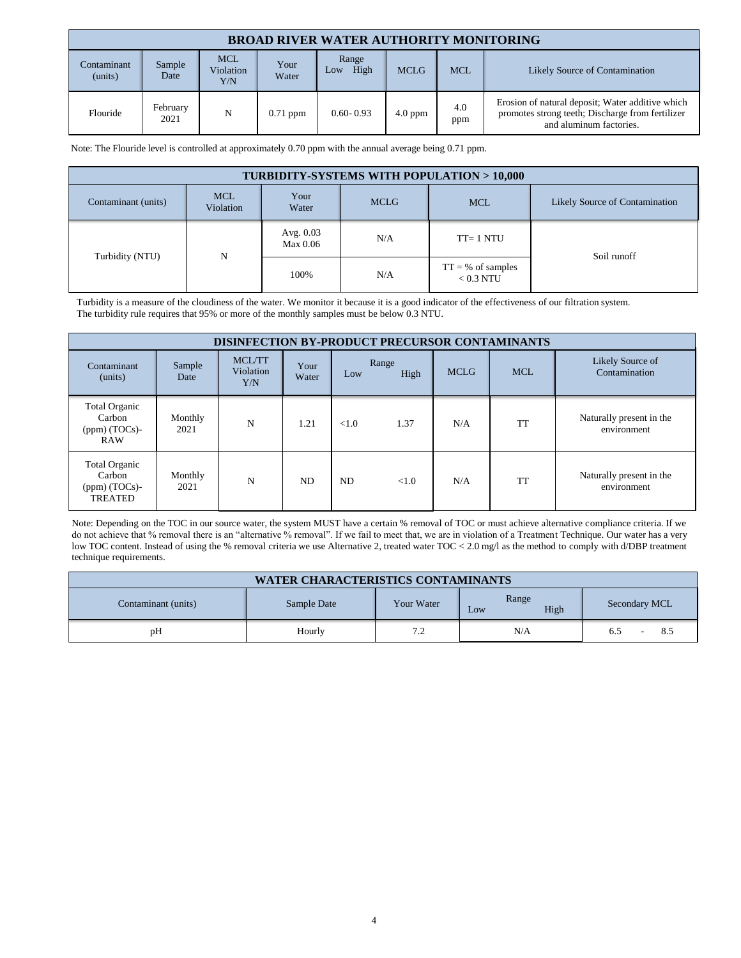| <b>BROAD RIVER WATER AUTHORITY MONITORING</b> |                  |                                |               |                      |             |            |                                                                                                                                 |  |  |
|-----------------------------------------------|------------------|--------------------------------|---------------|----------------------|-------------|------------|---------------------------------------------------------------------------------------------------------------------------------|--|--|
| Contaminant<br>(units)                        | Sample<br>Date   | <b>MCL</b><br>Violation<br>Y/N | Your<br>Water | Range<br>High<br>LOW | <b>MCLG</b> | <b>MCL</b> | Likely Source of Contamination                                                                                                  |  |  |
| Flouride                                      | February<br>2021 | N                              | $0.71$ ppm    | $0.60 - 0.93$        | $4.0$ ppm   | 4.0<br>ppm | Erosion of natural deposit; Water additive which<br>promotes strong teeth; Discharge from fertilizer<br>and aluminum factories. |  |  |

Note: The Flouride level is controlled at approximately 0.70 ppm with the annual average being 0.71 ppm.

| <b>TURBIDITY-SYSTEMS WITH POPULATION &gt; 10,000</b> |                         |                                |     |                                     |             |  |  |  |  |
|------------------------------------------------------|-------------------------|--------------------------------|-----|-------------------------------------|-------------|--|--|--|--|
| Contaminant (units)                                  | <b>MCL</b><br>Violation | Likely Source of Contamination |     |                                     |             |  |  |  |  |
| Turbidity (NTU)                                      |                         | Avg. $0.03$<br>Max 0.06        | N/A | $TT = 1 NTU$                        | Soil runoff |  |  |  |  |
|                                                      | N                       | 100%                           | N/A | $TT = \%$ of samples<br>$< 0.3$ NTU |             |  |  |  |  |

Turbidity is a measure of the cloudiness of the water. We monitor it because it is a good indicator of the effectiveness of our filtration system. The turbidity rule requires that 95% or more of the monthly samples must be below 0.3 NTU.

| <b>DISINFECTION BY-PRODUCT PRECURSOR CONTAMINANTS</b>         |                 |                            |               |       |               |             |            |                                         |
|---------------------------------------------------------------|-----------------|----------------------------|---------------|-------|---------------|-------------|------------|-----------------------------------------|
| Contaminant<br>(units)                                        | Sample<br>Date  | MCL/TT<br>Violation<br>Y/N | Your<br>Water | Low   | Range<br>High | <b>MCLG</b> | <b>MCL</b> | Likely Source of<br>Contamination       |
| <b>Total Organic</b><br>Carbon<br>(ppm) (TOCs)-<br><b>RAW</b> | Monthly<br>2021 | N                          | 1.21          | < 1.0 | 1.37          | N/A         | <b>TT</b>  | Naturally present in the<br>environment |
| Total Organic<br>Carbon<br>$(ppm)$ (TOCs)-<br><b>TREATED</b>  | Monthly<br>2021 | N                          | ND            | ND    | < 1.0         | N/A         | <b>TT</b>  | Naturally present in the<br>environment |

Note: Depending on the TOC in our source water, the system MUST have a certain % removal of TOC or must achieve alternative compliance criteria. If we do not achieve that % removal there is an "alternative % removal". If we fail to meet that, we are in violation of a Treatment Technique. Our water has a very low TOC content. Instead of using the % removal criteria we use Alternative 2, treated water TOC < 2.0 mg/l as the method to comply with d/DBP treatment technique requirements.

| <b>WATER CHARACTERISTICS CONTAMINANTS</b>                                                 |        |    |     |                 |  |  |  |  |
|-------------------------------------------------------------------------------------------|--------|----|-----|-----------------|--|--|--|--|
| Range<br>Secondary MCL<br>Contaminant (units)<br>Sample Date<br>Your Water<br>High<br>Low |        |    |     |                 |  |  |  |  |
| pH                                                                                        | Hourly | 72 | N/A | 8.3<br>6.5<br>- |  |  |  |  |